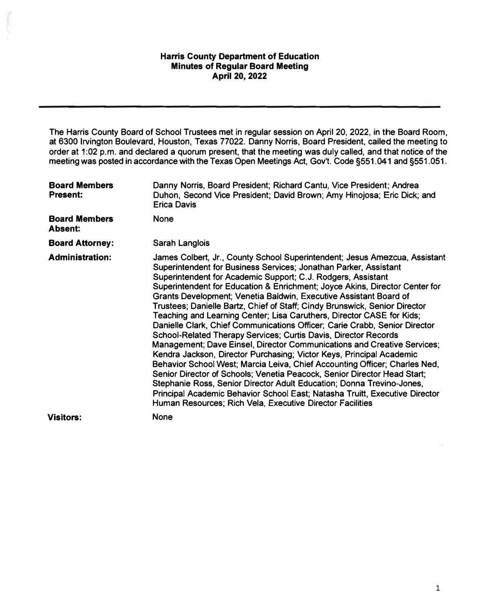**The Harris County Board of School Trustees met in regular session on April 20, 2022, in the Board Room, at 6300 Irvington Boulevard, Houston, Texas 77022. Danny Norris, Board President, called the meeting to order at 1 :02 p.m. and declared a quorum present, that the meeting was duly called, and that notice of the meeting was posted in accordance with the Texas Open Meetings Act, Gov't. Code §551.041 and §551.051.** 

| <b>Board Members</b><br><b>Present:</b> | Danny Norris, Board President; Richard Cantu, Vice President; Andrea<br>Duhon, Second Vice President; David Brown; Amy Hinojosa; Eric Dick; and<br><b>Erica Davis</b>                                                                                                                                                                                                                                                                                                                                                                                                                                                                                                                                                                                                                                                                                                                                                                                                                                                                                                                                                                                                                                        |
|-----------------------------------------|--------------------------------------------------------------------------------------------------------------------------------------------------------------------------------------------------------------------------------------------------------------------------------------------------------------------------------------------------------------------------------------------------------------------------------------------------------------------------------------------------------------------------------------------------------------------------------------------------------------------------------------------------------------------------------------------------------------------------------------------------------------------------------------------------------------------------------------------------------------------------------------------------------------------------------------------------------------------------------------------------------------------------------------------------------------------------------------------------------------------------------------------------------------------------------------------------------------|
| <b>Board Members</b><br><b>Absent:</b>  | <b>None</b>                                                                                                                                                                                                                                                                                                                                                                                                                                                                                                                                                                                                                                                                                                                                                                                                                                                                                                                                                                                                                                                                                                                                                                                                  |
| <b>Board Attorney:</b>                  | Sarah Langlois                                                                                                                                                                                                                                                                                                                                                                                                                                                                                                                                                                                                                                                                                                                                                                                                                                                                                                                                                                                                                                                                                                                                                                                               |
| <b>Administration:</b>                  | James Colbert, Jr., County School Superintendent; Jesus Amezcua, Assistant<br>Superintendent for Business Services; Jonathan Parker, Assistant<br>Superintendent for Academic Support; C.J. Rodgers, Assistant<br>Superintendent for Education & Enrichment; Joyce Akins, Director Center for<br>Grants Development; Venetia Baldwin, Executive Assistant Board of<br>Trustees; Danielle Bartz, Chief of Staff; Cindy Brunswick, Senior Director<br>Teaching and Learning Center; Lisa Caruthers, Director CASE for Kids;<br>Danielle Clark, Chief Communications Officer; Carie Crabb, Senior Director<br>School-Related Therapy Services; Curtis Davis, Director Records<br>Management; Dave Einsel, Director Communications and Creative Services;<br>Kendra Jackson, Director Purchasing; Victor Keys, Principal Academic<br>Behavior School West; Marcia Leiva, Chief Accounting Officer; Charles Ned,<br>Senior Director of Schools; Venetia Peacock, Senior Director Head Start;<br>Stephanie Ross, Senior Director Adult Education; Donna Trevino-Jones,<br>Principal Academic Behavior School East; Natasha Truitt, Executive Director<br>Human Resources; Rich Vela, Executive Director Facilities |
| <b>Visitors:</b>                        | <b>None</b>                                                                                                                                                                                                                                                                                                                                                                                                                                                                                                                                                                                                                                                                                                                                                                                                                                                                                                                                                                                                                                                                                                                                                                                                  |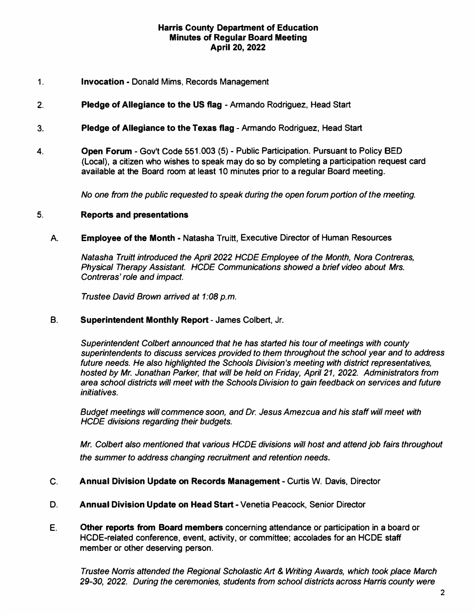- **1. Invocation - Donald Mims, Records Management**
- **2. Pledge of Allegiance to the US flag - Armando Rodriguez, Head Start**
- **3. Pledge of Allegiance to the Texas flag - Armando Rodriguez, Head Start**
- **4. Open Forum - Gov't Code 551.003 (5) - Public Participation. Pursuant to Policy BED (Local), a citizen who wishes to speak may do so by completing a participation request card available at the Board room at least 1 0 minutes prior to a regular Board meeting.**

*No one from the public requested to speak during the open forum portion of the meeting.*

# **5. Reports and presentations**

### A **Employee of the Month - Natasha Truitt, Executive Director of Human Resources**

*Natasha Truitt introduced the April 2022 HCDE Employee of the Month, Nora Contreras, Physical Therapy Assistant. HCDE Communications showed a brief video about Mrs. Contreras' role and impact.*

*Trustee David Brown arrived at 1 :08 p.m.*

#### **B.Superintendent Monthly Report - James Colbert, Jr.**

*Superintendent Colbert announced that he has started his tour of meetings with county superintendents to discuss services provided to them throughout the school year and to address future needs. He also highlighted the Schools Division's meeting with district representatives, hosted by Mr. Jonathan Parker, that will be held on Friday, April 21, 2022. Administrators from area school districts will meet with the Schools Division to gain feedback on services and future initiatives.*

*Budget meetings will commence soon, and Dr. Jesus Amezcua and his staff will meet with HCDE divisions regarding their budgets.*

*Mr. Colbert also mentioned that various HCDE divisions will host and attend job fairs throughout the summer to address changing recruitment and retention needs.*

### **C. Annual Division Update on Records Management - Curtis W. Davis, Director**

- **D. Annual Division Update on Head Start - Venetia Peacock, Senior Director**
- **E. Other reports from Board members concerning attendance or participation in a board or HCDE-related conference, event, activity, or committee; accolades for an HCDE staff member or other deserving person.**

*Trustee Norris attended the Regional Scholastic Art* & *Writing Awards, which took place March 29-30, 2022. During the ceremonies, students from school districts across Harris county were*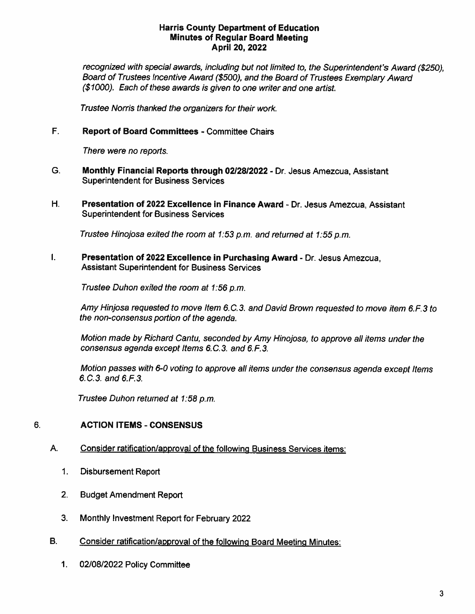recognized with special awards, including but not limited to, the Superintendent's Award (\$250), Board of Trustees Incentive Award (\$500), and the Board of Trustees Exemplary Award (\$1000). Each of these awards is given to one writer and one artist.

Trustee Norris thanked the organizers for their work.

#### F. **Report of Board Committees - Committee Chairs**

There were no reports.

- G. Monthly Financial Reports through 02/28/2022 - Dr. Jesus Amezcua, Assistant **Superintendent for Business Services**
- H. Presentation of 2022 Excellence in Finance Award - Dr. Jesus Amezcua, Assistant **Superintendent for Business Services**

Trustee Hinojosa exited the room at 1:53 p.m. and returned at 1:55 p.m.

 $\mathbf{L}$ Presentation of 2022 Excellence in Purchasing Award - Dr. Jesus Amezcua, **Assistant Superintendent for Business Services** 

Trustee Duhon exited the room at 1:56 p.m.

Amy Hinjosa requested to move Item 6.C.3, and David Brown requested to move item 6.F.3 to the non-consensus portion of the agenda.

Motion made by Richard Cantu, seconded by Amy Hinojosa, to approve all items under the consensus agenda except Items 6.C.3. and 6.F.3.

Motion passes with 6-0 voting to approve all items under the consensus agenda except Items 6.C.3. and 6.F.3.

Trustee Duhon returned at 1:58 p.m.

#### 6. **ACTION ITEMS - CONSENSUS**

- Α. Consider ratification/approval of the following Business Services items:
	- $\mathbf{1}$ . **Disbursement Report**
	- $2.$ **Budget Amendment Report**
	- 3. Monthly Investment Report for February 2022
- **B.** Consider ratification/approval of the following Board Meeting Minutes:
	- 02/08/2022 Policy Committee 1.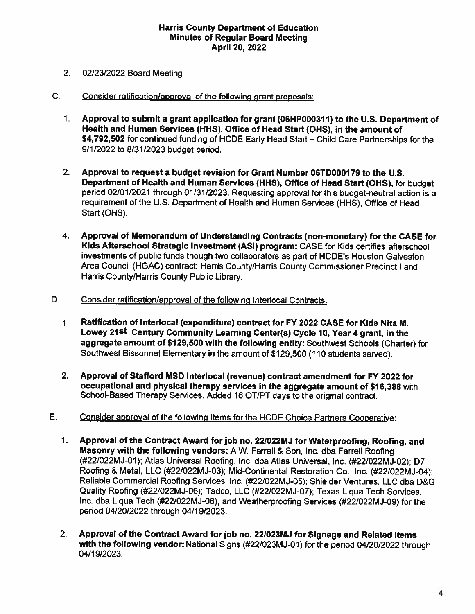- $2.$ 02/23/2022 Board Meeting
- $C_{1}$ Consider ratification/approval of the following grant proposals:
	- $1_{-}$ Approval to submit a grant application for grant (06HP000311) to the U.S. Department of Health and Human Services (HHS), Office of Head Start (OHS), in the amount of \$4,792,502 for continued funding of HCDE Early Head Start - Child Care Partnerships for the 9/1/2022 to 8/31/2023 budget period.
	- $2<sub>1</sub>$ Approval to request a budget revision for Grant Number 06TD000179 to the U.S. Department of Health and Human Services (HHS), Office of Head Start (OHS), for budget period 02/01/2021 through 01/31/2023. Requesting approval for this budget-neutral action is a requirement of the U.S. Department of Health and Human Services (HHS), Office of Head Start (OHS).
	- 4. Approval of Memorandum of Understanding Contracts (non-monetary) for the CASE for Kids Afterschool Strategic Investment (ASI) program: CASE for Kids certifies afterschool investments of public funds though two collaborators as part of HCDE's Houston Galveston Area Council (HGAC) contract: Harris County/Harris County Commissioner Precinct I and Harris County/Harris County Public Library.
- D. Consider ratification/approval of the following Interlocal Contracts:
	- $1.$ Ratification of Interlocal (expenditure) contract for FY 2022 CASE for Kids Nita M. Lowey 21<sup>st</sup> Century Community Learning Center(s) Cycle 10, Year 4 grant, in the aggregate amount of \$129,500 with the following entity: Southwest Schools (Charter) for Southwest Bissonnet Elementary in the amount of \$129,500 (110 students served).
	- $2.$ Approval of Stafford MSD Interlocal (revenue) contract amendment for FY 2022 for occupational and physical therapy services in the aggregate amount of \$16,388 with School-Based Therapy Services. Added 16 OT/PT days to the original contract.
- E. Consider approval of the following items for the HCDE Choice Partners Cooperative:
	- $1<sub>1</sub>$ Approval of the Contract Award for job no. 22/022MJ for Waterproofing, Roofing, and Masonry with the following vendors: A.W. Farrell & Son, Inc. dba Farrell Roofing (#22/022MJ-01); Atlas Universal Roofing, Inc. dba Atlas Universal, Inc. (#22/022MJ-02); D7 Roofing & Metal, LLC (#22/022MJ-03); Mid-Continental Restoration Co., Inc. (#22/022MJ-04); Reliable Commercial Roofing Services, Inc. (#22/022MJ-05); Shielder Ventures, LLC dba D&G Quality Roofing (#22/022MJ-06); Tadco, LLC (#22/022MJ-07); Texas Liqua Tech Services, Inc. dba Liqua Tech (#22/022MJ-08), and Weatherproofing Services (#22/022MJ-09) for the period 04/20/2022 through 04/19/2023.
	- $2.$ Approval of the Contract Award for job no. 22/023MJ for Signage and Related Items with the following vendor: National Signs (#22/023MJ-01) for the period 04/20/2022 through 04/19/2023.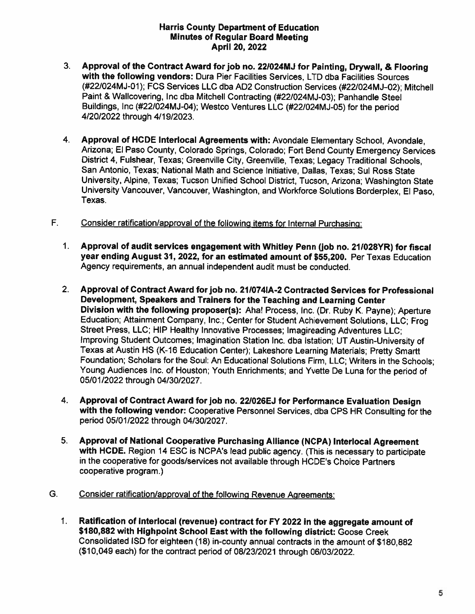- $3<sub>1</sub>$ Approval of the Contract Award for job no. 22/024MJ for Painting, Drywall, & Flooring with the following vendors: Dura Pier Facilities Services, LTD dba Facilities Sources (#22/024MJ-01): FCS Services LLC dba AD2 Construction Services (#22/024MJ-02); Mitchell Paint & Wallcovering, Inc dba Mitchell Contracting (#22/024MJ-03); Panhandle Steel Buildings, Inc (#22/024MJ-04); Westco Ventures LLC (#22/024MJ-05) for the period 4/20/2022 through 4/19/2023.
- $4<sup>1</sup>$ Approval of HCDE Interlocal Agreements with: Avondale Elementary School, Avondale. Arizona; El Paso County, Colorado Springs, Colorado; Fort Bend County Emergency Services District 4. Fulshear. Texas: Greenville City, Greenville, Texas; Legacy Traditional Schools, San Antonio, Texas; National Math and Science Initiative, Dallas, Texas; Sul Ross State University, Alpine, Texas; Tucson Unified School District, Tucson, Arizona; Washington State University Vancouver, Vancouver, Washington, and Workforce Solutions Borderplex, El Paso, Texas.
- F. Consider ratification/approval of the following items for Internal Purchasing:
	- $1<sub>1</sub>$ Approval of audit services engagement with Whitley Penn (job no. 21/028YR) for fiscal year ending August 31, 2022, for an estimated amount of \$55,200. Per Texas Education Agency requirements, an annual independent audit must be conducted.
	- $2.$ Approval of Contract Award for job no. 21/074IA-2 Contracted Services for Professional Development, Speakers and Trainers for the Teaching and Learning Center Division with the following proposer(s): Aha! Process, Inc. (Dr. Ruby K. Payne); Aperture Education; Attainment Company, Inc.; Center for Student Achievement Solutions, LLC; Frog Street Press, LLC; HIP Healthy Innovative Processes; Imagireading Adventures LLC; Improving Student Outcomes; Imagination Station Inc. dba Istation; UT Austin-University of Texas at Austin HS (K-16 Education Center); Lakeshore Learning Materials; Pretty Smartt Foundation; Scholars for the Soul: An Educational Solutions Firm, LLC; Writers in the Schools; Young Audiences Inc. of Houston; Youth Enrichments; and Yvette De Luna for the period of 05/01/2022 through 04/30/2027.
	- 4. Approval of Contract Award for job no. 22/026EJ for Performance Evaluation Design with the following vendor: Cooperative Personnel Services, dba CPS HR Consulting for the period 05/01/2022 through 04/30/2027.
	- Approval of National Cooperative Purchasing Alliance (NCPA) Interlocal Agreement  $5.$ with HCDE. Region 14 ESC is NCPA's lead public agency. (This is necessary to participate in the cooperative for goods/services not available through HCDE's Choice Partners cooperative program.)
- Consider ratification/approval of the following Revenue Agreements: G.
	- $1.$ Ratification of Interlocal (revenue) contract for FY 2022 in the aggregate amount of \$180,882 with Highpoint School East with the following district: Goose Creek Consolidated ISD for eighteen (18) in-county annual contracts in the amount of \$180,882 (\$10,049 each) for the contract period of 08/23/2021 through 06/03/2022.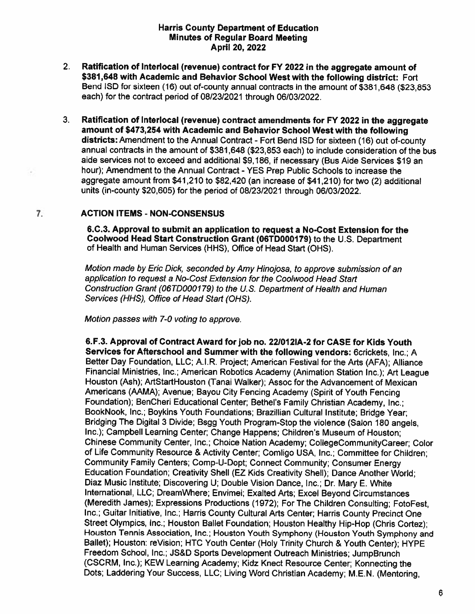- $2<sub>1</sub>$ Ratification of Interlocal (revenue) contract for FY 2022 in the aggregate amount of \$381,648 with Academic and Behavior School West with the following district: Fort Bend ISD for sixteen (16) out of-county annual contracts in the amount of \$381,648 (\$23,853 each) for the contract period of 08/23/2021 through 06/03/2022.
- $3.$ Ratification of Interlocal (revenue) contract amendments for FY 2022 in the aggregate amount of \$473,254 with Academic and Behavior School West with the following districts: Amendment to the Annual Contract - Fort Bend ISD for sixteen (16) out of-county annual contracts in the amount of \$381,648 (\$23,853 each) to include consideration of the bus aide services not to exceed and additional \$9,186, if necessary (Bus Aide Services \$19 an hour); Amendment to the Annual Contract - YES Prep Public Schools to increase the aggregate amount from \$41,210 to \$82,420 (an increase of \$41,210) for two (2) additional units (in-county \$20,605) for the period of 08/23/2021 through 06/03/2022.

# **ACTION ITEMS - NON-CONSENSUS**

7.

6.C.3. Approval to submit an application to request a No-Cost Extension for the Coolwood Head Start Construction Grant (06TD000179) to the U.S. Department of Health and Human Services (HHS), Office of Head Start (OHS).

Motion made by Eric Dick, seconded by Amy Hinojosa, to approve submission of an application to request a No-Cost Extension for the Coolwood Head Start Construction Grant (06TD000179) to the U.S. Department of Health and Human Services (HHS), Office of Head Start (OHS).

Motion passes with 7-0 voting to approve.

6.F.3. Approval of Contract Award for job no. 22/012IA-2 for CASE for Kids Youth Services for Afterschool and Summer with the following vendors: 6crickets, Inc.; A Better Day Foundation, LLC; A.I.R. Project; American Festival for the Arts (AFA); Alliance Financial Ministries, Inc.; American Robotics Academy (Animation Station Inc.); Art League Houston (Ash); ArtStartHouston (Tanai Walker); Assoc for the Advancement of Mexican Americans (AAMA); Avenue; Bayou City Fencing Academy (Spirit of Youth Fencing Foundation); BenCheri Educational Center; Bethel's Family Christian Academy, Inc.: BookNook, Inc.; Boykins Youth Foundations; Brazillian Cultural Institute; Bridge Year; Bridging The Digital 3 Divide; Bsgg Youth Program-Stop the violence (Salon 180 angels, Inc.); Campbell Learning Center; Change Happens; Children's Museum of Houston; Chinese Community Center, Inc.; Choice Nation Academy; CollegeCommunityCareer; Color of Life Community Resource & Activity Center; Comligo USA, Inc.; Committee for Children; Community Family Centers; Comp-U-Dopt; Connect Community; Consumer Energy Education Foundation; Creativity Shell (EZ Kids Creativity Shell); Dance Another World; Diaz Music Institute; Discovering U; Double Vision Dance, Inc.; Dr. Mary E. White International, LLC; DreamWhere; Envimei; Exalted Arts; Excel Beyond Circumstances (Meredith James); Expressions Productions (1972); For The Children Consulting; FotoFest, Inc.; Guitar Initiative, Inc.; Harris County Cultural Arts Center; Harris County Precinct One Street Olympics, Inc.; Houston Ballet Foundation; Houston Healthy Hip-Hop (Chris Cortez); Houston Tennis Association, Inc.; Houston Youth Symphony (Houston Youth Symphony and Ballet); Houston: reVision; HTC Youth Center (Holy Trinity Church & Youth Center); HYPE Freedom School, Inc.; JS&D Sports Development Outreach Ministries; JumpBrunch (CSCRM, Inc.); KEW Learning Academy; Kidz Knect Resource Center; Konnecting the Dots; Laddering Your Success, LLC; Living Word Christian Academy; M.E.N. (Mentoring,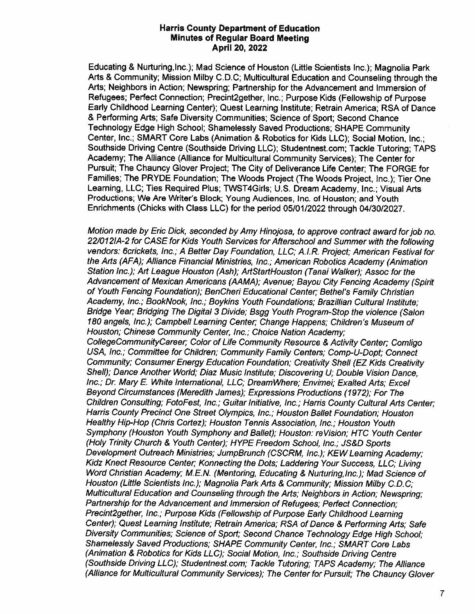Educating & Nurturing, Inc.); Mad Science of Houston (Little Scientists Inc.); Magnolia Park Arts & Community; Mission Milby C.D.C; Multicultural Education and Counseling through the Arts; Neighbors in Action; Newspring; Partnership for the Advancement and Immersion of Refugees; Perfect Connection; Precint2gether, Inc.; Purpose Kids (Fellowship of Purpose Early Childhood Learning Center); Quest Learning Institute; Retrain America; RSA of Dance & Performing Arts; Safe Diversity Communities; Science of Sport; Second Chance Technology Edge High School; Shamelessly Saved Productions; SHAPE Community Center, Inc.; SMART Core Labs (Animation & Robotics for Kids LLC); Social Motion. Inc.: Southside Driving Centre (Southside Driving LLC); Studentnest.com; Tackle Tutoring; TAPS Academy; The Alliance (Alliance for Multicultural Community Services); The Center for Pursuit; The Chauncy Glover Project; The City of Deliverance Life Center; The FORGE for Families; The PRYDE Foundation; The Woods Project (The Woods Project, Inc.); Tier One Learning, LLC; Ties Required Plus; TWST4Girls; U.S. Dream Academy, Inc.; Visual Arts Productions; We Are Writer's Block; Young Audiences, Inc. of Houston; and Youth Enrichments (Chicks with Class LLC) for the period 05/01/2022 through 04/30/2027.

Motion made by Eric Dick, seconded by Amy Hinojosa, to approve contract award for job no. 22/012IA-2 for CASE for Kids Youth Services for Afterschool and Summer with the following vendors: 6crickets, Inc.; A Better Day Foundation, LLC; A.I.R. Project; American Festival for the Arts (AFA); Alliance Financial Ministries, Inc.; American Robotics Academy (Animation Station Inc.); Art League Houston (Ash); ArtStartHouston (Tanai Walker); Assoc for the Advancement of Mexican Americans (AAMA); Avenue; Bayou City Fencing Academy (Spirit of Youth Fencing Foundation); BenCheri Educational Center; Bethel's Family Christian Academy, Inc.; BookNook, Inc.; Boykins Youth Foundations; Brazillian Cultural Institute; Bridge Year; Bridging The Digital 3 Divide; Bsgg Youth Program-Stop the violence (Salon 180 angels, Inc.); Campbell Learning Center; Change Happens; Children's Museum of Houston; Chinese Community Center, Inc.; Choice Nation Academy; CollegeCommunityCareer; Color of Life Community Resource & Activity Center; Comligo USA, Inc.; Committee for Children; Community Family Centers; Comp-U-Dopt; Connect Community; Consumer Energy Education Foundation; Creativity Shell (EZ Kids Creativity Shell); Dance Another World; Diaz Music Institute; Discovering U; Double Vision Dance, Inc.; Dr. Mary E. White International, LLC; DreamWhere; Envimei; Exalted Arts; Excel Beyond Circumstances (Meredith James); Expressions Productions (1972); For The Children Consulting; FotoFest, Inc.; Guitar Initiative, Inc.; Harris County Cultural Arts Center: Harris County Precinct One Street Olympics, Inc.; Houston Ballet Foundation; Houston Healthy Hip-Hop (Chris Cortez); Houston Tennis Association, Inc.; Houston Youth Symphony (Houston Youth Symphony and Ballet); Houston: reVision; HTC Youth Center (Holy Trinity Church & Youth Center); HYPE Freedom School, Inc.; JS&D Sports Development Outreach Ministries; JumpBrunch (CSCRM, Inc.); KEW Learning Academy; Kidz Knect Resource Center; Konnecting the Dots; Laddering Your Success, LLC; Living Word Christian Academy; M.E.N. (Mentoring, Educating & Nurturing, Inc.); Mad Science of Houston (Little Scientists Inc.); Magnolia Park Arts & Community; Mission Milby C.D.C; Multicultural Education and Counseling through the Arts; Neighbors in Action; Newspring; Partnership for the Advancement and Immersion of Refugees; Perfect Connection; Precint2gether, Inc.; Purpose Kids (Fellowship of Purpose Early Childhood Learning Center); Quest Learning Institute; Retrain America; RSA of Dance & Performing Arts; Safe Diversity Communities; Science of Sport; Second Chance Technology Edge High School; Shamelessly Saved Productions; SHAPE Community Center, Inc.; SMART Core Labs (Animation & Robotics for Kids LLC); Social Motion, Inc.; Southside Driving Centre (Southside Driving LLC); Studentnest.com; Tackle Tutoring; TAPS Academy; The Alliance (Alliance for Multicultural Community Services); The Center for Pursuit; The Chauncy Glover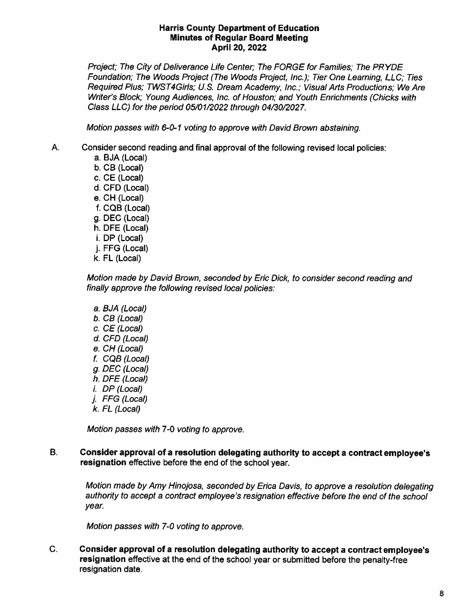Project; The City of Deliverance Life Center; The FORGE for Families; The PRYDE Foundation; The Woods Project (The Woods Project, Inc.); Tier One Learning, LLC; Ties Required Plus; TWST4Girls; U.S. Dream Academy, Inc.; Visual Arts Productions; We Are Writer's Block; Young Audiences, Inc. of Houston; and Youth Enrichments (Chicks with Class LLC) for the period 05/01/2022 through 04/30/2027.

Motion passes with 6-0-1 voting to approve with David Brown abstaining.

- Α. Consider second reading and final approval of the following revised local policies:
	- a. BJA (Local) b. CB (Local) c. CE (Local) d. CFD (Local) e. CH (Local) f. CQB (Local) g. DEC (Local) h. DFE (Local) i. DP (Local) j. FFG (Local) k. FL (Local)

Motion made by David Brown, seconded by Eric Dick, to consider second reading and finally approve the following revised local policies:

a. BJA (Local) b. CB (Local)  $c.$  CE (Local) d. CFD (Local) e. CH (Local) f. CQB (Local) g. DEC (Local) h. DFE (Local)  $i.$  DP (Local) j. FFG (Local)  $k.$  FL (Local)

Motion passes with 7-0 voting to approve.

**B.** Consider approval of a resolution delegating authority to accept a contract employee's resignation effective before the end of the school year.

Motion made by Amy Hinojosa, seconded by Erica Davis, to approve a resolution delegating authority to accept a contract employee's resignation effective before the end of the school year.

Motion passes with 7-0 voting to approve.

C. Consider approval of a resolution delegating authority to accept a contract employee's resignation effective at the end of the school year or submitted before the penalty-free resignation date.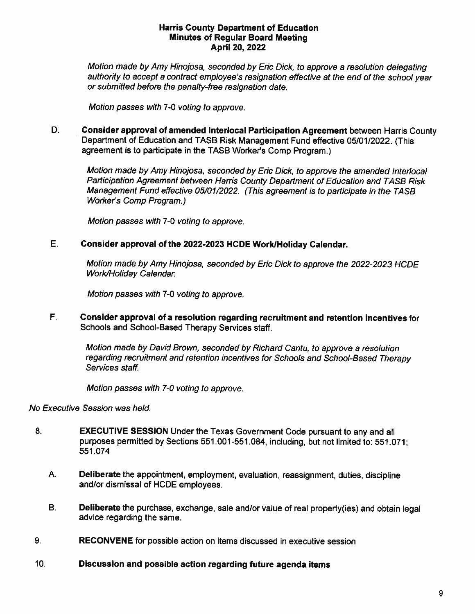Motion made by Amy Hinojosa, seconded by Eric Dick, to approve a resolution delegating authority to accept a contract employee's resignation effective at the end of the school year or submitted before the penalty-free resignation date.

Motion passes with 7-0 voting to approve.

D. Consider approval of amended Interlocal Participation Agreement between Harris County Department of Education and TASB Risk Management Fund effective 05/01/2022. (This agreement is to participate in the TASB Worker's Comp Program.)

Motion made by Amy Hinojosa, seconded by Eric Dick, to approve the amended Interlocal Participation Agreement between Harris County Department of Education and TASB Risk Management Fund effective 05/01/2022. (This agreement is to participate in the TASB **Worker's Comp Program.)** 

Motion passes with 7-0 voting to approve.

#### E. Consider approval of the 2022-2023 HCDE Work/Holiday Calendar.

Motion made by Amy Hinojosa, seconded by Eric Dick to approve the 2022-2023 HCDE Work/Holiday Calendar.

Motion passes with 7-0 voting to approve.

F. Consider approval of a resolution regarding recruitment and retention incentives for Schools and School-Based Therapy Services staff.

Motion made by David Brown, seconded by Richard Cantu, to approve a resolution regarding recruitment and retention incentives for Schools and School-Based Therapy Services staff.

Motion passes with 7-0 voting to approve.

# No Executive Session was held.

- 8. **EXECUTIVE SESSION** Under the Texas Government Code pursuant to any and all purposes permitted by Sections 551.001-551.084, including, but not limited to: 551.071; 551.074
	- A. **Deliberate the appointment, employment, evaluation, reassignment, duties, discipline** and/or dismissal of HCDE employees.
	- **B.** Deliberate the purchase, exchange, sale and/or value of real property (ies) and obtain legal advice regarding the same.
- 9. RECONVENE for possible action on items discussed in executive session
- 10. Discussion and possible action regarding future agenda items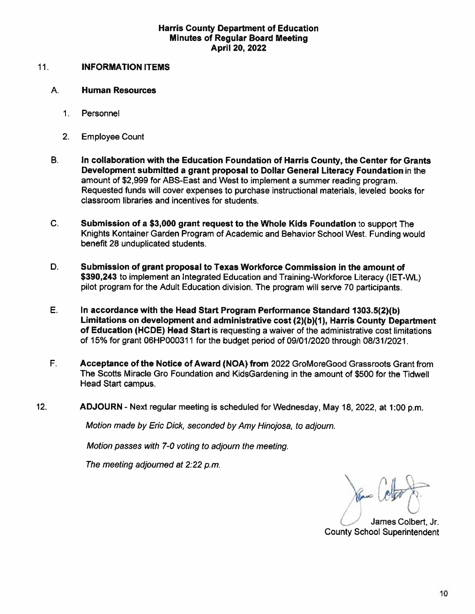#### $11.$ **INFORMATION ITEMS**

#### А. **Human Resources**

- $1<sup>1</sup>$ Personnel
- $2.$ **Employee Count**
- **B.** In collaboration with the Education Foundation of Harris County, the Center for Grants Development submitted a grant proposal to Dollar General Literacy Foundation in the amount of \$2,999 for ABS-East and West to implement a summer reading program. Requested funds will cover expenses to purchase instructional materials, leveled books for classroom libraries and incentives for students.
- C. Submission of a \$3,000 grant request to the Whole Kids Foundation to support The Knights Kontainer Garden Program of Academic and Behavior School West. Funding would benefit 28 unduplicated students.
- D. Submission of grant proposal to Texas Workforce Commission in the amount of \$390,243 to implement an Integrated Education and Training-Workforce Literacy (IET-WL) pilot program for the Adult Education division. The program will serve 70 participants.
- Е. In accordance with the Head Start Program Performance Standard 1303.5(2)(b) Limitations on development and administrative cost (2)(b)(1), Harris County Department of Education (HCDE) Head Start is requesting a waiver of the administrative cost limitations of 15% for grant 06HP000311 for the budget period of 09/01/2020 through 08/31/2021.
- F. Acceptance of the Notice of Award (NOA) from 2022 GroMoreGood Grassroots Grant from The Scotts Miracle Gro Foundation and KidsGardening in the amount of \$500 for the Tidwell Head Start campus.
- $12.$ ADJOURN - Next regular meeting is scheduled for Wednesday, May 18, 2022, at 1:00 p.m.

Motion made by Eric Dick, seconded by Amy Hinojosa, to adjourn.

Motion passes with 7-0 voting to adjourn the meeting.

The meeting adjourned at 2:22 p.m.

James Colbert, Jr. **County School Superintendent**